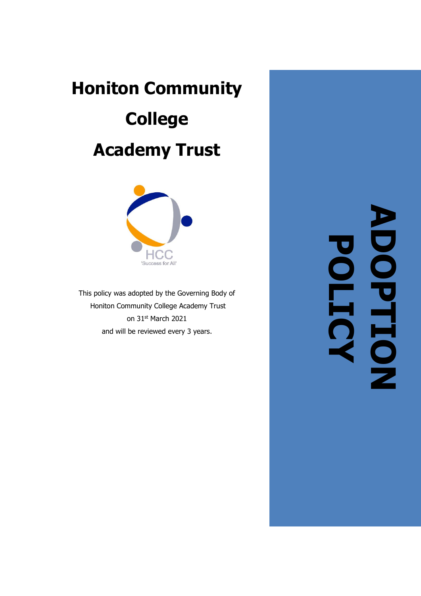# **Honiton Community College Academy Trust**



This policy was adopted by the Governing Body of Honiton Community College Academy Trust on 31st March 2021 and will be reviewed every 3 years .

**ADOPTION POLICY**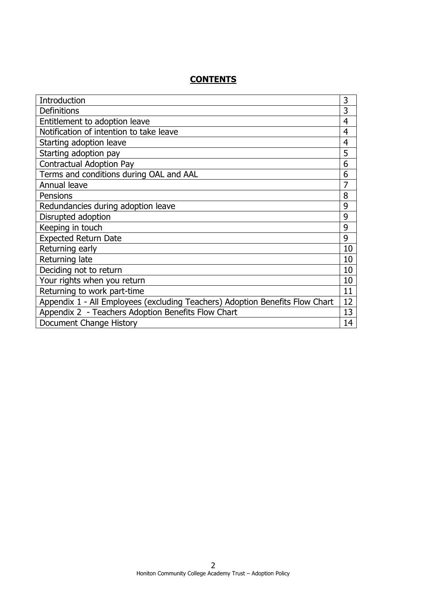# **CONTENTS**

| Introduction                                                                 | 3              |
|------------------------------------------------------------------------------|----------------|
| <b>Definitions</b>                                                           | 3              |
| Entitlement to adoption leave                                                | $\overline{4}$ |
| Notification of intention to take leave                                      | $\overline{4}$ |
| Starting adoption leave                                                      | $\overline{4}$ |
| Starting adoption pay                                                        | 5              |
| <b>Contractual Adoption Pay</b>                                              | 6              |
| Terms and conditions during OAL and AAL                                      | 6              |
| Annual leave                                                                 | 7              |
| Pensions                                                                     | 8              |
| Redundancies during adoption leave                                           | 9              |
| Disrupted adoption                                                           | 9              |
| Keeping in touch                                                             | 9              |
| <b>Expected Return Date</b>                                                  | 9              |
| Returning early                                                              | 10             |
| Returning late                                                               | 10             |
| Deciding not to return                                                       | 10             |
| Your rights when you return                                                  | 10             |
| Returning to work part-time                                                  | 11             |
| Appendix 1 - All Employees (excluding Teachers) Adoption Benefits Flow Chart | 12             |
| Appendix 2 - Teachers Adoption Benefits Flow Chart                           | 13             |
| Document Change History                                                      | 14             |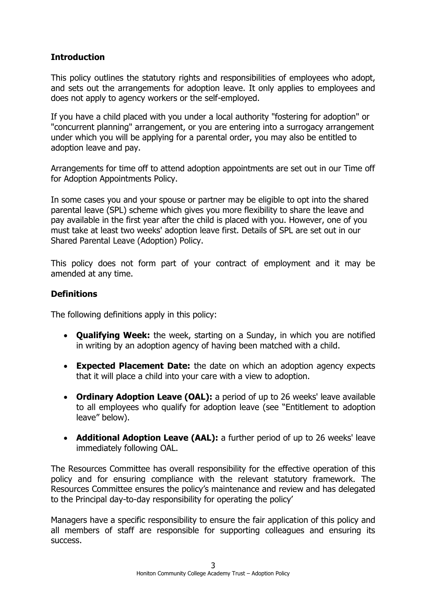# **Introduction**

This policy outlines the statutory rights and responsibilities of employees who adopt, and sets out the arrangements for adoption leave. It only applies to employees and does not apply to agency workers or the self-employed.

If you have a child placed with you under a local authority "fostering for adoption" or "concurrent planning" arrangement, or you are entering into a surrogacy arrangement under which you will be applying for a parental order, you may also be entitled to adoption leave and pay.

Arrangements for time off to attend adoption appointments are set out in our Time off for Adoption Appointments Policy.

In some cases you and your spouse or partner may be eligible to opt into the shared parental leave (SPL) scheme which gives you more flexibility to share the leave and pay available in the first year after the child is placed with you. However, one of you must take at least two weeks' adoption leave first. Details of SPL are set out in our Shared Parental Leave (Adoption) Policy.

This policy does not form part of your contract of employment and it may be amended at any time.

# **Definitions**

The following definitions apply in this policy:

- **Qualifying Week:** the week, starting on a Sunday, in which you are notified in writing by an adoption agency of having been matched with a child.
- **Expected Placement Date:** the date on which an adoption agency expects that it will place a child into your care with a view to adoption.
- **Ordinary Adoption Leave (OAL):** a period of up to 26 weeks' leave available to all employees who qualify for adoption leave (see "Entitlement to adoption leave" below).
- **Additional Adoption Leave (AAL):** a further period of up to 26 weeks' leave immediately following OAL.

The Resources Committee has overall responsibility for the effective operation of this policy and for ensuring compliance with the relevant statutory framework. The Resources Committee ensures the policy's maintenance and review and has delegated to the Principal day-to-day responsibility for operating the policy'

Managers have a specific responsibility to ensure the fair application of this policy and all members of staff are responsible for supporting colleagues and ensuring its success.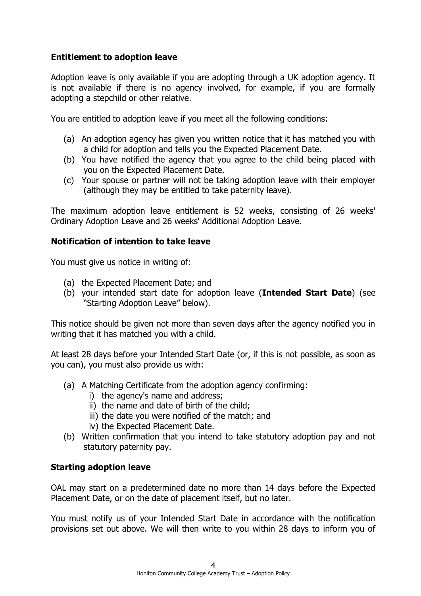# **Entitlement to adoption leave**

Adoption leave is only available if you are adopting through a UK adoption agency. It is not available if there is no agency involved, for example, if you are formally adopting a stepchild or other relative.

You are entitled to adoption leave if you meet all the following conditions:

- (a) An adoption agency has given you written notice that it has matched you with a child for adoption and tells you the Expected Placement Date.
- (b) You have notified the agency that you agree to the child being placed with you on the Expected Placement Date.
- (c) Your spouse or partner will not be taking adoption leave with their employer (although they may be entitled to take paternity leave).

The maximum adoption leave entitlement is 52 weeks, consisting of 26 weeks' Ordinary Adoption Leave and 26 weeks' Additional Adoption Leave.

## **Notification of intention to take leave**

You must give us notice in writing of:

- (a) the Expected Placement Date; and
- (b) your intended start date for adoption leave (**Intended Start Date**) (see "Starting Adoption Leave" below).

This notice should be given not more than seven days after the agency notified you in writing that it has matched you with a child.

At least 28 days before your Intended Start Date (or, if this is not possible, as soon as you can), you must also provide us with:

- (a) A Matching Certificate from the adoption agency confirming:
	- i) the agency's name and address;
	- ii) the name and date of birth of the child;
	- iii) the date you were notified of the match; and
	- iv) the Expected Placement Date.
- (b) Written confirmation that you intend to take statutory adoption pay and not statutory paternity pay.

## **Starting adoption leave**

OAL may start on a predetermined date no more than 14 days before the Expected Placement Date, or on the date of placement itself, but no later.

You must notify us of your Intended Start Date in accordance with the notification provisions set out above. We will then write to you within 28 days to inform you of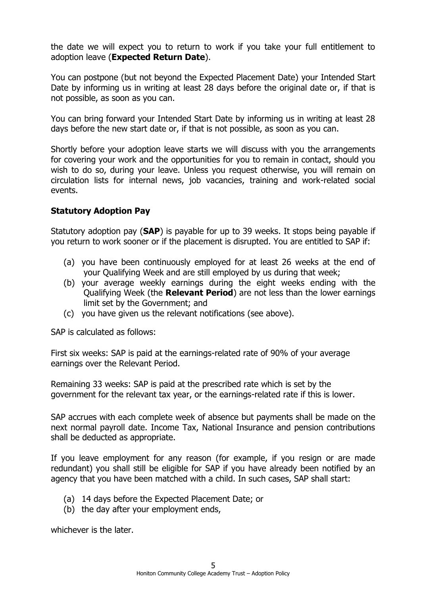the date we will expect you to return to work if you take your full entitlement to adoption leave (**Expected Return Date**).

You can postpone (but not beyond the Expected Placement Date) your Intended Start Date by informing us in writing at least 28 days before the original date or, if that is not possible, as soon as you can.

You can bring forward your Intended Start Date by informing us in writing at least 28 days before the new start date or, if that is not possible, as soon as you can.

Shortly before your adoption leave starts we will discuss with you the arrangements for covering your work and the opportunities for you to remain in contact, should you wish to do so, during your leave. Unless you request otherwise, you will remain on circulation lists for internal news, job vacancies, training and work-related social events.

## **Statutory Adoption Pay**

Statutory adoption pay (**SAP**) is payable for up to 39 weeks. It stops being payable if you return to work sooner or if the placement is disrupted. You are entitled to SAP if:

- (a) you have been continuously employed for at least 26 weeks at the end of your Qualifying Week and are still employed by us during that week;
- (b) your average weekly earnings during the eight weeks ending with the Qualifying Week (the **Relevant Period**) are not less than the lower earnings limit set by the Government; and
- (c) you have given us the relevant notifications (see above).

SAP is calculated as follows:

First six weeks: SAP is paid at the earnings-related rate of 90% of your average earnings over the Relevant Period.

Remaining 33 weeks: SAP is paid at the prescribed rate which is set by the government for the relevant tax year, or the earnings-related rate if this is lower.

SAP accrues with each complete week of absence but payments shall be made on the next normal payroll date. Income Tax, National Insurance and pension contributions shall be deducted as appropriate.

If you leave employment for any reason (for example, if you resign or are made redundant) you shall still be eligible for SAP if you have already been notified by an agency that you have been matched with a child. In such cases, SAP shall start:

- (a) 14 days before the Expected Placement Date; or
- (b) the day after your employment ends,

whichever is the later.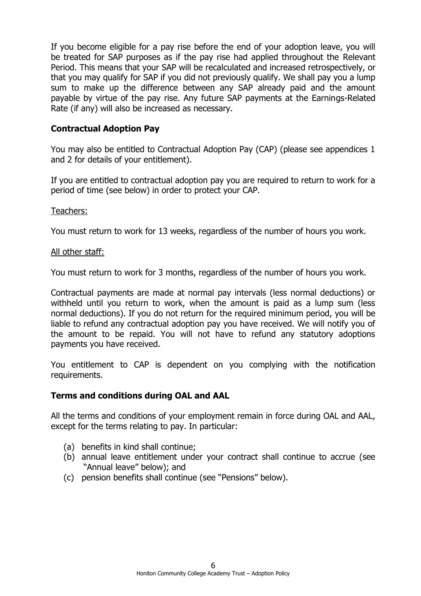If you become eligible for a pay rise before the end of your adoption leave, you will be treated for SAP purposes as if the pay rise had applied throughout the Relevant Period. This means that your SAP will be recalculated and increased retrospectively, or that you may qualify for SAP if you did not previously qualify. We shall pay you a lump sum to make up the difference between any SAP already paid and the amount payable by virtue of the pay rise. Any future SAP payments at the Earnings-Related Rate (if any) will also be increased as necessary.

#### **Contractual Adoption Pay**

You may also be entitled to Contractual Adoption Pay (CAP) (please see appendices 1 and 2 for details of your entitlement).

If you are entitled to contractual adoption pay you are required to return to work for a period of time (see below) in order to protect your CAP.

#### Teachers:

You must return to work for 13 weeks, regardless of the number of hours you work.

#### All other staff:

You must return to work for 3 months, regardless of the number of hours you work.

Contractual payments are made at normal pay intervals (less normal deductions) or withheld until you return to work, when the amount is paid as a lump sum (less normal deductions). If you do not return for the required minimum period, you will be liable to refund any contractual adoption pay you have received. We will notify you of the amount to be repaid. You will not have to refund any statutory adoptions payments you have received.

You entitlement to CAP is dependent on you complying with the notification requirements.

#### **Terms and conditions during OAL and AAL**

All the terms and conditions of your employment remain in force during OAL and AAL, except for the terms relating to pay. In particular:

- (a) benefits in kind shall continue;
- (b) annual leave entitlement under your contract shall continue to accrue (see "Annual leave" below); and
- (c) pension benefits shall continue (see "Pensions" below).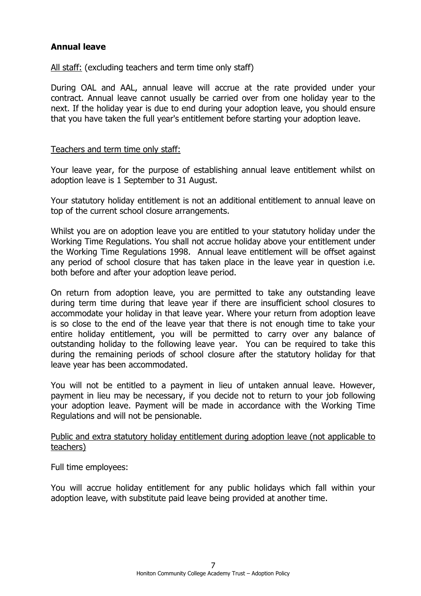## **Annual leave**

All staff: (excluding teachers and term time only staff)

During OAL and AAL, annual leave will accrue at the rate provided under your contract. Annual leave cannot usually be carried over from one holiday year to the next. If the holiday year is due to end during your adoption leave, you should ensure that you have taken the full year's entitlement before starting your adoption leave.

#### Teachers and term time only staff:

Your leave year, for the purpose of establishing annual leave entitlement whilst on adoption leave is 1 September to 31 August.

Your statutory holiday entitlement is not an additional entitlement to annual leave on top of the current school closure arrangements.

Whilst you are on adoption leave you are entitled to your statutory holiday under the Working Time Regulations. You shall not accrue holiday above your entitlement under the Working Time Regulations 1998. Annual leave entitlement will be offset against any period of school closure that has taken place in the leave year in question i.e. both before and after your adoption leave period.

On return from adoption leave, you are permitted to take any outstanding leave during term time during that leave year if there are insufficient school closures to accommodate your holiday in that leave year. Where your return from adoption leave is so close to the end of the leave year that there is not enough time to take your entire holiday entitlement, you will be permitted to carry over any balance of outstanding holiday to the following leave year. You can be required to take this during the remaining periods of school closure after the statutory holiday for that leave year has been accommodated.

You will not be entitled to a payment in lieu of untaken annual leave. However, payment in lieu may be necessary, if you decide not to return to your job following your adoption leave. Payment will be made in accordance with the Working Time Regulations and will not be pensionable.

Public and extra statutory holiday entitlement during adoption leave (not applicable to teachers)

Full time employees:

You will accrue holiday entitlement for any public holidays which fall within your adoption leave, with substitute paid leave being provided at another time.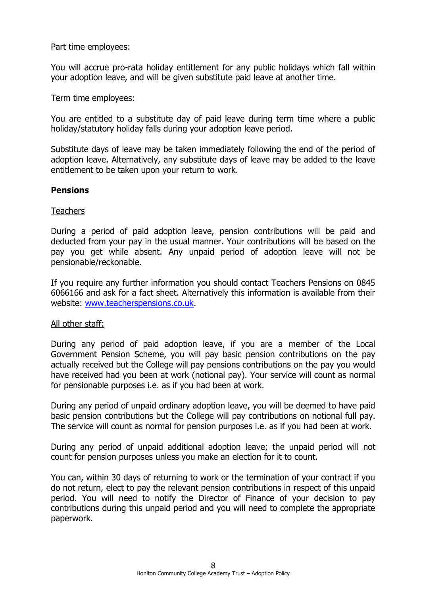Part time employees:

You will accrue pro-rata holiday entitlement for any public holidays which fall within your adoption leave, and will be given substitute paid leave at another time.

Term time employees:

You are entitled to a substitute day of paid leave during term time where a public holiday/statutory holiday falls during your adoption leave period.

Substitute days of leave may be taken immediately following the end of the period of adoption leave. Alternatively, any substitute days of leave may be added to the leave entitlement to be taken upon your return to work.

#### **Pensions**

#### Teachers

During a period of paid adoption leave, pension contributions will be paid and deducted from your pay in the usual manner. Your contributions will be based on the pay you get while absent. Any unpaid period of adoption leave will not be pensionable/reckonable.

If you require any further information you should contact Teachers Pensions on 0845 6066166 and ask for a fact sheet. Alternatively this information is available from their website: [www.teacherspensions.co.uk.](http://www.teacherspensions.co.uk/)

#### All other staff:

During any period of paid adoption leave, if you are a member of the Local Government Pension Scheme, you will pay basic pension contributions on the pay actually received but the College will pay pensions contributions on the pay you would have received had you been at work (notional pay). Your service will count as normal for pensionable purposes i.e. as if you had been at work.

During any period of unpaid ordinary adoption leave, you will be deemed to have paid basic pension contributions but the College will pay contributions on notional full pay. The service will count as normal for pension purposes i.e. as if you had been at work.

During any period of unpaid additional adoption leave; the unpaid period will not count for pension purposes unless you make an election for it to count.

You can, within 30 days of returning to work or the termination of your contract if you do not return, elect to pay the relevant pension contributions in respect of this unpaid period. You will need to notify the Director of Finance of your decision to pay contributions during this unpaid period and you will need to complete the appropriate paperwork.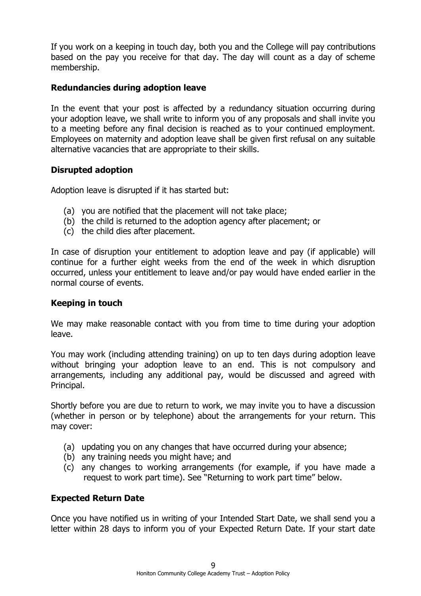If you work on a keeping in touch day, both you and the College will pay contributions based on the pay you receive for that day. The day will count as a day of scheme membership.

#### **Redundancies during adoption leave**

In the event that your post is affected by a redundancy situation occurring during your adoption leave, we shall write to inform you of any proposals and shall invite you to a meeting before any final decision is reached as to your continued employment. Employees on maternity and adoption leave shall be given first refusal on any suitable alternative vacancies that are appropriate to their skills.

#### **Disrupted adoption**

Adoption leave is disrupted if it has started but:

- (a) you are notified that the placement will not take place;
- (b) the child is returned to the adoption agency after placement; or
- (c) the child dies after placement.

In case of disruption your entitlement to adoption leave and pay (if applicable) will continue for a further eight weeks from the end of the week in which disruption occurred, unless your entitlement to leave and/or pay would have ended earlier in the normal course of events.

#### **Keeping in touch**

We may make reasonable contact with you from time to time during your adoption leave.

You may work (including attending training) on up to ten days during adoption leave without bringing your adoption leave to an end. This is not compulsory and arrangements, including any additional pay, would be discussed and agreed with Principal.

Shortly before you are due to return to work, we may invite you to have a discussion (whether in person or by telephone) about the arrangements for your return. This may cover:

- (a) updating you on any changes that have occurred during your absence;
- (b) any training needs you might have; and
- (c) any changes to working arrangements (for example, if you have made a request to work part time). See "Returning to work part time" below.

#### **Expected Return Date**

Once you have notified us in writing of your Intended Start Date, we shall send you a letter within 28 days to inform you of your Expected Return Date. If your start date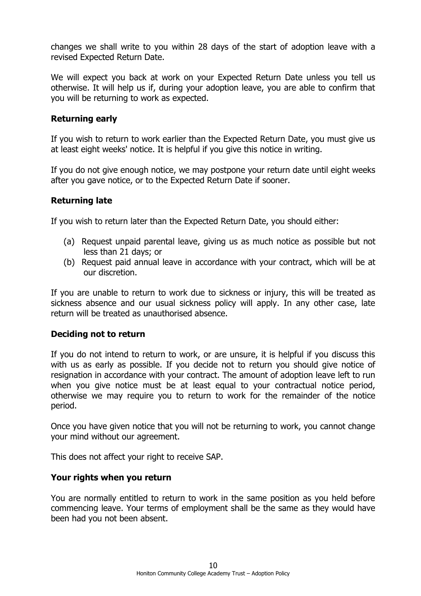changes we shall write to you within 28 days of the start of adoption leave with a revised Expected Return Date.

We will expect you back at work on your Expected Return Date unless you tell us otherwise. It will help us if, during your adoption leave, you are able to confirm that you will be returning to work as expected.

# **Returning early**

If you wish to return to work earlier than the Expected Return Date, you must give us at least eight weeks' notice. It is helpful if you give this notice in writing.

If you do not give enough notice, we may postpone your return date until eight weeks after you gave notice, or to the Expected Return Date if sooner.

# **Returning late**

If you wish to return later than the Expected Return Date, you should either:

- (a) Request unpaid parental leave, giving us as much notice as possible but not less than 21 days; or
- (b) Request paid annual leave in accordance with your contract, which will be at our discretion.

If you are unable to return to work due to sickness or injury, this will be treated as sickness absence and our usual sickness policy will apply. In any other case, late return will be treated as unauthorised absence.

#### **Deciding not to return**

If you do not intend to return to work, or are unsure, it is helpful if you discuss this with us as early as possible. If you decide not to return you should give notice of resignation in accordance with your contract. The amount of adoption leave left to run when you give notice must be at least equal to your contractual notice period, otherwise we may require you to return to work for the remainder of the notice period.

Once you have given notice that you will not be returning to work, you cannot change your mind without our agreement.

This does not affect your right to receive SAP.

## **Your rights when you return**

You are normally entitled to return to work in the same position as you held before commencing leave. Your terms of employment shall be the same as they would have been had you not been absent.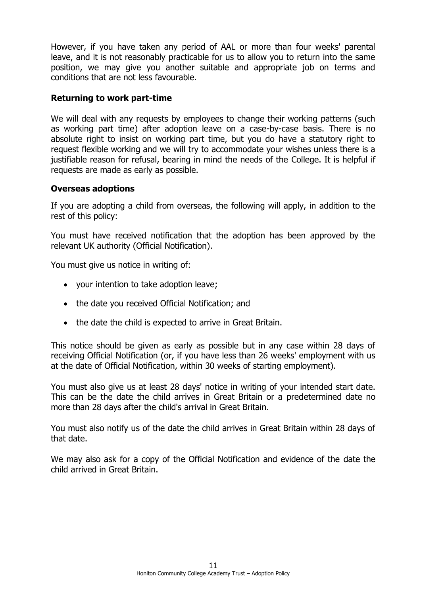However, if you have taken any period of AAL or more than four weeks' parental leave, and it is not reasonably practicable for us to allow you to return into the same position, we may give you another suitable and appropriate job on terms and conditions that are not less favourable.

# **Returning to work part-time**

We will deal with any requests by employees to change their working patterns (such as working part time) after adoption leave on a case-by-case basis. There is no absolute right to insist on working part time, but you do have a statutory right to request flexible working and we will try to accommodate your wishes unless there is a justifiable reason for refusal, bearing in mind the needs of the College. It is helpful if requests are made as early as possible.

#### **Overseas adoptions**

If you are adopting a child from overseas, the following will apply, in addition to the rest of this policy:

You must have received notification that the adoption has been approved by the relevant UK authority (Official Notification).

You must give us notice in writing of:

- your intention to take adoption leave;
- the date you received Official Notification; and
- the date the child is expected to arrive in Great Britain.

This notice should be given as early as possible but in any case within 28 days of receiving Official Notification (or, if you have less than 26 weeks' employment with us at the date of Official Notification, within 30 weeks of starting employment).

You must also give us at least 28 days' notice in writing of your intended start date. This can be the date the child arrives in Great Britain or a predetermined date no more than 28 days after the child's arrival in Great Britain.

You must also notify us of the date the child arrives in Great Britain within 28 days of that date.

We may also ask for a copy of the Official Notification and evidence of the date the child arrived in Great Britain.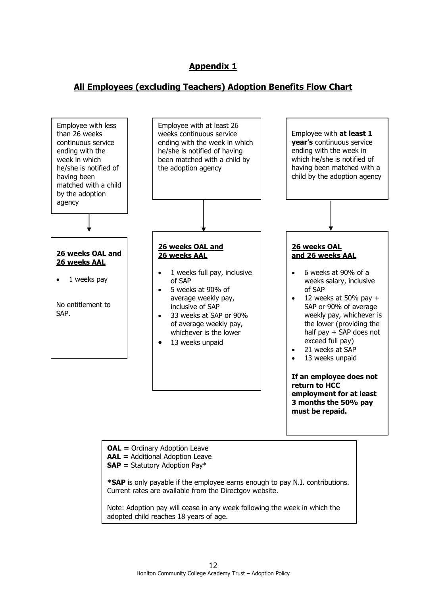# **Appendix 1**

# **All Employees (excluding Teachers) Adoption Benefits Flow Chart**

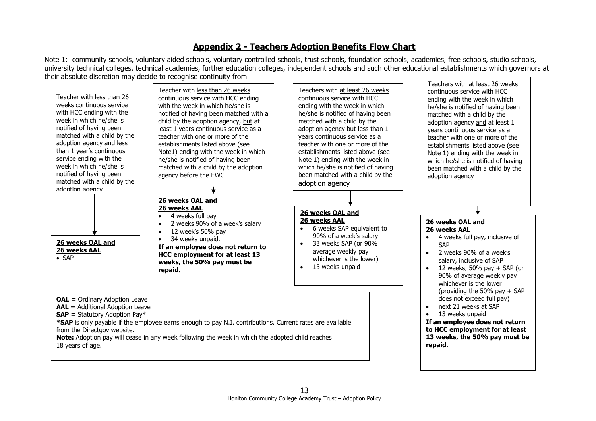# **Appendix 2 - Teachers Adoption Benefits Flow Chart**

Note 1: community schools, voluntary aided schools, voluntary controlled schools, trust schools, foundation schools, academies, free schools, studio schools, university technical colleges, technical academies, further education colleges, independent schools and such other educational establishments which governors at their absolute discretion may decide to recognise continuity from